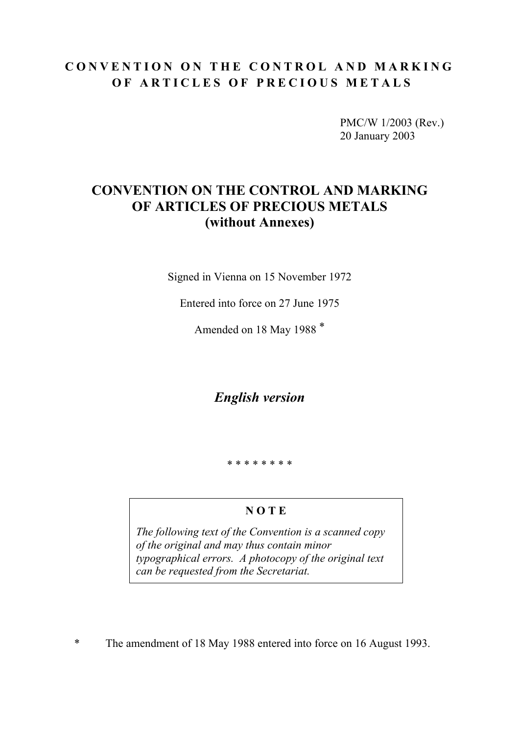## **CONVENTION ON THE CONTROL AND MARKING OF ARTICLES OF PRECIOUS METALS**

PMC/W 1/2003 (Rev.) 20 January 2003

# **CONVENTION ON THE CONTROL AND MARKING OF ARTICLES OF PRECIOUS METALS (without Annexes)**

Signed in Vienna on 15 November 1972

Entered into force on 27 June 1975

Amended on 18 May 1988 \*

*English version* 

\* \* \* \* \* \* \* \*

## **N O T E**

*The following text of the Convention is a scanned copy of the original and may thus contain minor typographical errors. A photocopy of the original text can be requested from the Secretariat.* 

\* The amendment of 18 May 1988 entered into force on 16 August 1993.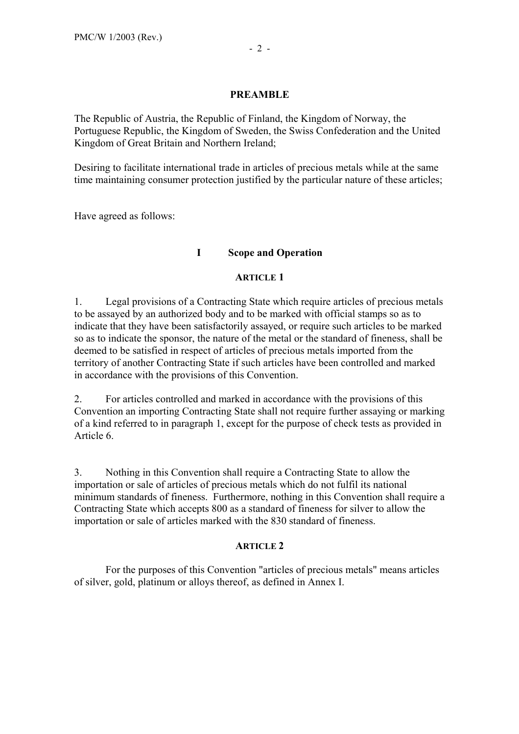## **PREAMBLE**

The Republic of Austria, the Republic of Finland, the Kingdom of Norway, the Portuguese Republic, the Kingdom of Sweden, the Swiss Confederation and the United Kingdom of Great Britain and Northern Ireland;

Desiring to facilitate international trade in articles of precious metals while at the same time maintaining consumer protection justified by the particular nature of these articles;

Have agreed as follows:

## **I Scope and Operation**

## **ARTICLE 1**

1. Legal provisions of a Contracting State which require articles of precious metals to be assayed by an authorized body and to be marked with official stamps so as to indicate that they have been satisfactorily assayed, or require such articles to be marked so as to indicate the sponsor, the nature of the metal or the standard of fineness, shall be deemed to be satisfied in respect of articles of precious metals imported from the territory of another Contracting State if such articles have been controlled and marked in accordance with the provisions of this Convention.

2. For articles controlled and marked in accordance with the provisions of this Convention an importing Contracting State shall not require further assaying or marking of a kind referred to in paragraph 1, except for the purpose of check tests as provided in Article 6.

3. Nothing in this Convention shall require a Contracting State to allow the importation or sale of articles of precious metals which do not fulfil its national minimum standards of fineness. Furthermore, nothing in this Convention shall require a Contracting State which accepts 800 as a standard of fineness for silver to allow the importation or sale of articles marked with the 830 standard of fineness.

## **ARTICLE 2**

 For the purposes of this Convention "articles of precious metals" means articles of silver, gold, platinum or alloys thereof, as defined in Annex I.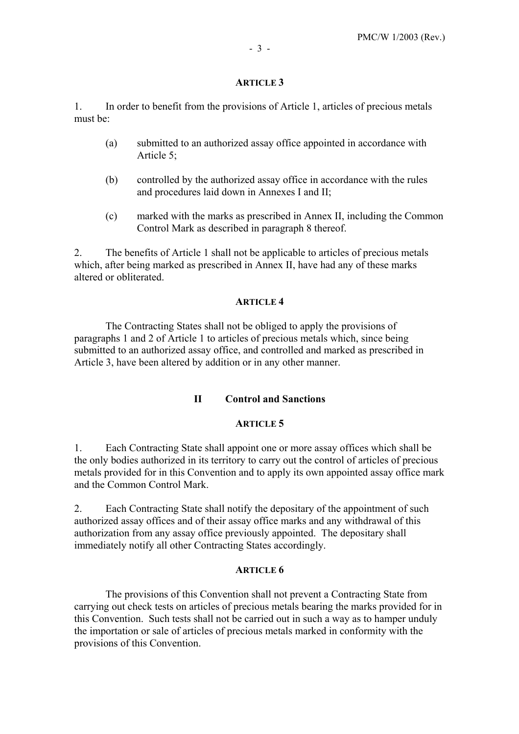1. In order to benefit from the provisions of Article 1, articles of precious metals must be:

- (a) submitted to an authorized assay office appointed in accordance with Article 5;
- (b) controlled by the authorized assay office in accordance with the rules and procedures laid down in Annexes I and II;
- (c) marked with the marks as prescribed in Annex II, including the Common Control Mark as described in paragraph 8 thereof.

2. The benefits of Article 1 shall not be applicable to articles of precious metals which, after being marked as prescribed in Annex II, have had any of these marks altered or obliterated.

#### **ARTICLE 4**

 The Contracting States shall not be obliged to apply the provisions of paragraphs 1 and 2 of Article 1 to articles of precious metals which, since being submitted to an authorized assay office, and controlled and marked as prescribed in Article 3, have been altered by addition or in any other manner.

## **II Control and Sanctions**

#### **ARTICLE 5**

1. Each Contracting State shall appoint one or more assay offices which shall be the only bodies authorized in its territory to carry out the control of articles of precious metals provided for in this Convention and to apply its own appointed assay office mark and the Common Control Mark.

2. Each Contracting State shall notify the depositary of the appointment of such authorized assay offices and of their assay office marks and any withdrawal of this authorization from any assay office previously appointed. The depositary shall immediately notify all other Contracting States accordingly.

#### **ARTICLE 6**

 The provisions of this Convention shall not prevent a Contracting State from carrying out check tests on articles of precious metals bearing the marks provided for in this Convention. Such tests shall not be carried out in such a way as to hamper unduly the importation or sale of articles of precious metals marked in conformity with the provisions of this Convention.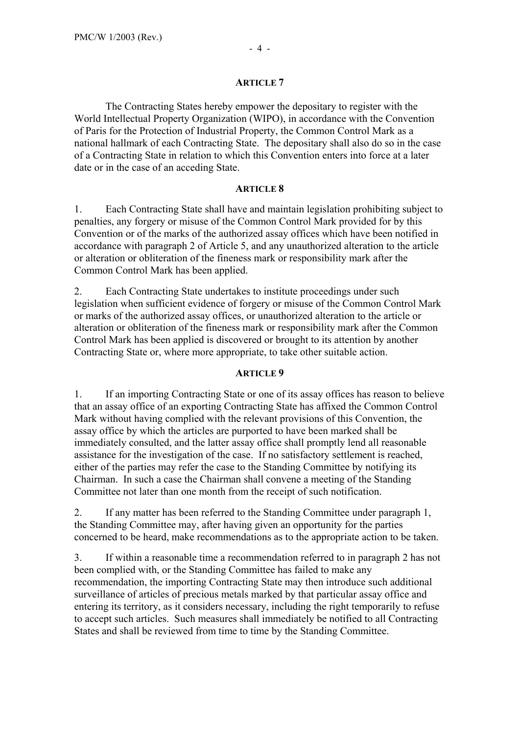The Contracting States hereby empower the depositary to register with the World Intellectual Property Organization (WIPO), in accordance with the Convention of Paris for the Protection of Industrial Property, the Common Control Mark as a national hallmark of each Contracting State. The depositary shall also do so in the case of a Contracting State in relation to which this Convention enters into force at a later date or in the case of an acceding State.

#### **ARTICLE 8**

1. Each Contracting State shall have and maintain legislation prohibiting subject to penalties, any forgery or misuse of the Common Control Mark provided for by this Convention or of the marks of the authorized assay offices which have been notified in accordance with paragraph 2 of Article 5, and any unauthorized alteration to the article or alteration or obliteration of the fineness mark or responsibility mark after the Common Control Mark has been applied.

2. Each Contracting State undertakes to institute proceedings under such legislation when sufficient evidence of forgery or misuse of the Common Control Mark or marks of the authorized assay offices, or unauthorized alteration to the article or alteration or obliteration of the fineness mark or responsibility mark after the Common Control Mark has been applied is discovered or brought to its attention by another Contracting State or, where more appropriate, to take other suitable action.

## **ARTICLE 9**

1. If an importing Contracting State or one of its assay offices has reason to believe that an assay office of an exporting Contracting State has affixed the Common Control Mark without having complied with the relevant provisions of this Convention, the assay office by which the articles are purported to have been marked shall be immediately consulted, and the latter assay office shall promptly lend all reasonable assistance for the investigation of the case. If no satisfactory settlement is reached, either of the parties may refer the case to the Standing Committee by notifying its Chairman. In such a case the Chairman shall convene a meeting of the Standing Committee not later than one month from the receipt of such notification.

2. If any matter has been referred to the Standing Committee under paragraph 1, the Standing Committee may, after having given an opportunity for the parties concerned to be heard, make recommendations as to the appropriate action to be taken.

3. If within a reasonable time a recommendation referred to in paragraph 2 has not been complied with, or the Standing Committee has failed to make any recommendation, the importing Contracting State may then introduce such additional surveillance of articles of precious metals marked by that particular assay office and entering its territory, as it considers necessary, including the right temporarily to refuse to accept such articles. Such measures shall immediately be notified to all Contracting States and shall be reviewed from time to time by the Standing Committee.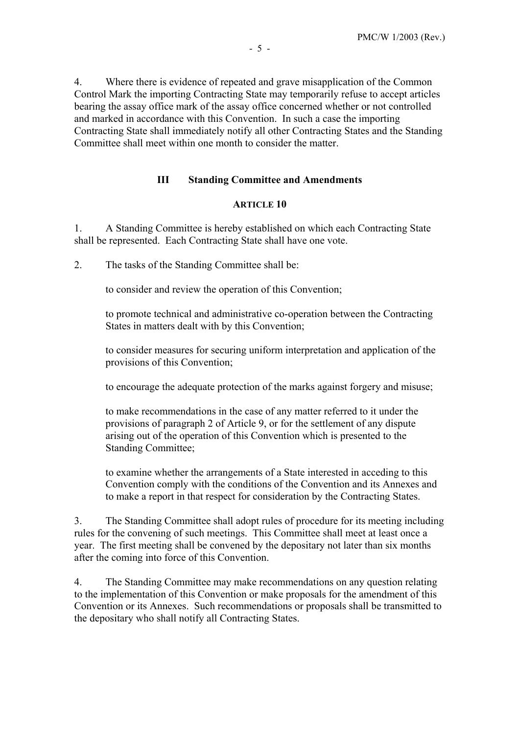4. Where there is evidence of repeated and grave misapplication of the Common Control Mark the importing Contracting State may temporarily refuse to accept articles bearing the assay office mark of the assay office concerned whether or not controlled and marked in accordance with this Convention. In such a case the importing Contracting State shall immediately notify all other Contracting States and the Standing Committee shall meet within one month to consider the matter.

#### **III Standing Committee and Amendments**

#### **ARTICLE 10**

1. A Standing Committee is hereby established on which each Contracting State shall be represented. Each Contracting State shall have one vote.

2. The tasks of the Standing Committee shall be:

to consider and review the operation of this Convention;

to promote technical and administrative co-operation between the Contracting States in matters dealt with by this Convention;

to consider measures for securing uniform interpretation and application of the provisions of this Convention;

to encourage the adequate protection of the marks against forgery and misuse;

to make recommendations in the case of any matter referred to it under the provisions of paragraph 2 of Article 9, or for the settlement of any dispute arising out of the operation of this Convention which is presented to the Standing Committee;

to examine whether the arrangements of a State interested in acceding to this Convention comply with the conditions of the Convention and its Annexes and to make a report in that respect for consideration by the Contracting States.

3. The Standing Committee shall adopt rules of procedure for its meeting including rules for the convening of such meetings. This Committee shall meet at least once a year. The first meeting shall be convened by the depositary not later than six months after the coming into force of this Convention.

4. The Standing Committee may make recommendations on any question relating to the implementation of this Convention or make proposals for the amendment of this Convention or its Annexes. Such recommendations or proposals shall be transmitted to the depositary who shall notify all Contracting States.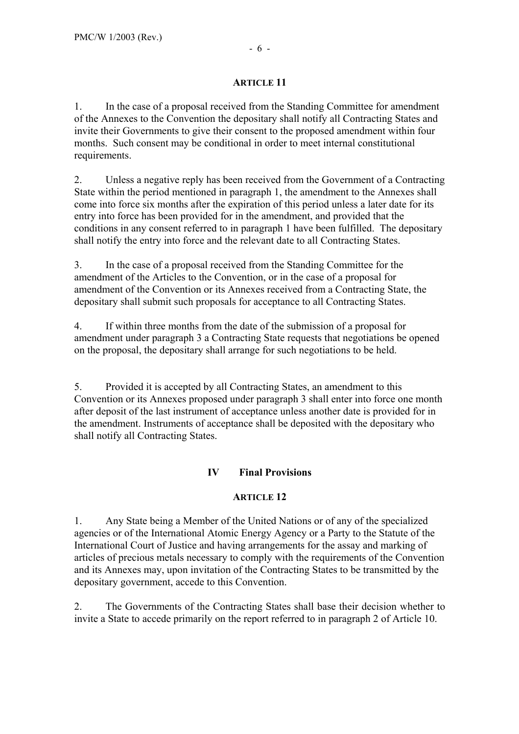1. In the case of a proposal received from the Standing Committee for amendment of the Annexes to the Convention the depositary shall notify all Contracting States and invite their Governments to give their consent to the proposed amendment within four months. Such consent may be conditional in order to meet internal constitutional requirements.

2. Unless a negative reply has been received from the Government of a Contracting State within the period mentioned in paragraph 1, the amendment to the Annexes shall come into force six months after the expiration of this period unless a later date for its entry into force has been provided for in the amendment, and provided that the conditions in any consent referred to in paragraph 1 have been fulfilled. The depositary shall notify the entry into force and the relevant date to all Contracting States.

3. In the case of a proposal received from the Standing Committee for the amendment of the Articles to the Convention, or in the case of a proposal for amendment of the Convention or its Annexes received from a Contracting State, the depositary shall submit such proposals for acceptance to all Contracting States.

4. If within three months from the date of the submission of a proposal for amendment under paragraph 3 a Contracting State requests that negotiations be opened on the proposal, the depositary shall arrange for such negotiations to be held.

5. Provided it is accepted by all Contracting States, an amendment to this Convention or its Annexes proposed under paragraph 3 shall enter into force one month after deposit of the last instrument of acceptance unless another date is provided for in the amendment. Instruments of acceptance shall be deposited with the depositary who shall notify all Contracting States.

## **IV Final Provisions**

## **ARTICLE 12**

1. Any State being a Member of the United Nations or of any of the specialized agencies or of the International Atomic Energy Agency or a Party to the Statute of the International Court of Justice and having arrangements for the assay and marking of articles of precious metals necessary to comply with the requirements of the Convention and its Annexes may, upon invitation of the Contracting States to be transmitted by the depositary government, accede to this Convention.

2. The Governments of the Contracting States shall base their decision whether to invite a State to accede primarily on the report referred to in paragraph 2 of Article 10.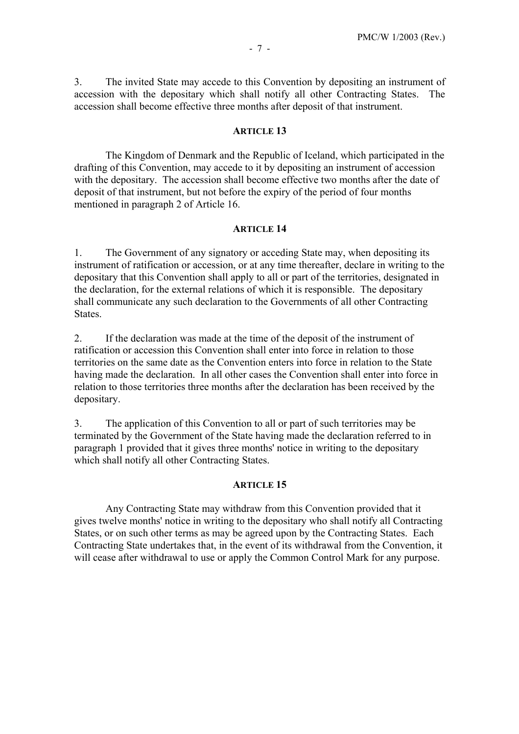3. The invited State may accede to this Convention by depositing an instrument of accession with the depositary which shall notify all other Contracting States. The accession shall become effective three months after deposit of that instrument.

#### **ARTICLE 13**

 The Kingdom of Denmark and the Republic of Iceland, which participated in the drafting of this Convention, may accede to it by depositing an instrument of accession with the depositary. The accession shall become effective two months after the date of deposit of that instrument, but not before the expiry of the period of four months mentioned in paragraph 2 of Article 16.

#### **ARTICLE 14**

1. The Government of any signatory or acceding State may, when depositing its instrument of ratification or accession, or at any time thereafter, declare in writing to the depositary that this Convention shall apply to all or part of the territories, designated in the declaration, for the external relations of which it is responsible. The depositary shall communicate any such declaration to the Governments of all other Contracting **States** 

2. If the declaration was made at the time of the deposit of the instrument of ratification or accession this Convention shall enter into force in relation to those territories on the same date as the Convention enters into force in relation to the State having made the declaration. In all other cases the Convention shall enter into force in relation to those territories three months after the declaration has been received by the depositary.

3. The application of this Convention to all or part of such territories may be terminated by the Government of the State having made the declaration referred to in paragraph 1 provided that it gives three months' notice in writing to the depositary which shall notify all other Contracting States.

#### **ARTICLE 15**

 Any Contracting State may withdraw from this Convention provided that it gives twelve months' notice in writing to the depositary who shall notify all Contracting States, or on such other terms as may be agreed upon by the Contracting States. Each Contracting State undertakes that, in the event of its withdrawal from the Convention, it will cease after withdrawal to use or apply the Common Control Mark for any purpose.